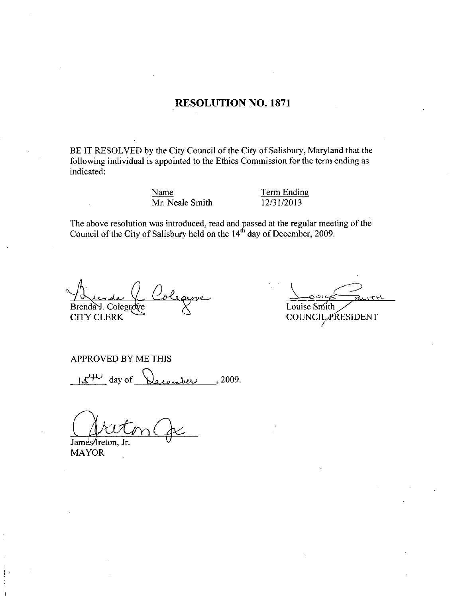#### RESOLUTION NO. 1871

BE IT RESOLVED by the City Council of the City of Salisbury, Maryland that the following individual is appointed to the Ethics Commission for the term ending as indicated

Name Term Ending Name<br>Mr. Neale Smith 12/31/2013

The above resolution was introduced, read and passed at the regular meeting of the Council of the City of Salisbury held on the 14<sup>th</sup> day of December, 2009.

Brenda J. Colegr RESOLVED<br>ng individual<br>d:<br>overesolution<br>overesolution<br>of the City<br>delay:<br>CLERK CITY CLERK

 $\frac{4}{2}$ Louise Smith Louise Smith "PRESIDENT

APPROVED BY ME THIS

 $\mathcal{U}^{\text{HL}}$  day of December , 2009.

James/Ireton, Jr. MAYOR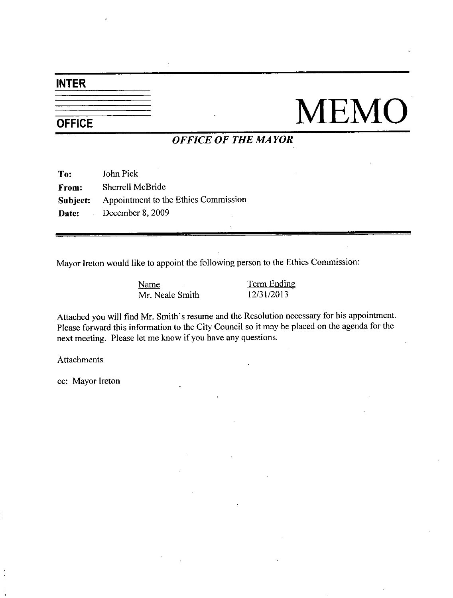#### INTER

# $\frac{1}{\frac{1}{\text{OFFICE}}}$  MEMO

### OFFICE OF THE MAYOR

| To:      | John Pick                            |
|----------|--------------------------------------|
| From:    | Sherrell McBride                     |
| Subject: | Appointment to the Ethics Commission |
|          | Date: December 8, 2009               |

Mayor Ireton would like to appoint the following person to the Ethics Commission

Name Term Ending Name<br>Mr. Neale Smith 12/31/2013

Name<br>
Mr. Neale Smith 12/31/2013<br>
Attached you will find Mr. Smith's resume and the Resolution necessary for his appointment<br>
Please forward this information to the City Council so it may be placed on the agenda for the next meeting. Please let me know if you have any questions.

Attachments

cc: Mayor Ireton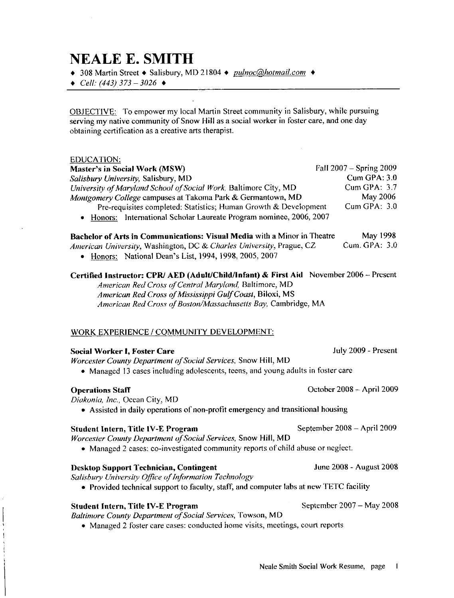## **NEALE E. SMITH**

◆ 308 Martin Street ◆ Salisbury, MD 21804 ◆ pulnoc@hotmail.com ◆

 $\triangleleft$  Cell: (443) 373 - 3026  $\triangleleft$ 

OBJECTIVE: To empower my local Martin Street community in Salisbury, while pursuing obtaining certification as a creative arts therapist

#### EDUCATION

 $\begin{array}{c} \n\downarrow \\
\downarrow \\
\downarrow\n\end{array}$ 

| serving my native community of Snow Hill as a social worker in foster care, and one day<br>obtaining certification as a creative arts therapist.                                                                                                                              |                                         |
|-------------------------------------------------------------------------------------------------------------------------------------------------------------------------------------------------------------------------------------------------------------------------------|-----------------------------------------|
| <b>EDUCATION:</b><br>Master's in Social Work (MSW)<br>Salisbury University, Salisbury, MD                                                                                                                                                                                     | Fall 2007 - Spring 2009<br>Cum GPA: 3.0 |
| University of Maryland School of Social Work, Baltimore City, MD<br>Montgomery College campuses at Takoma Park & Germantown, MD                                                                                                                                               | Cum GPA: 3.7<br>May 2006                |
| Pre-requisites completed: Statistics; Human Growth & Development<br>• Honors: International Scholar Laureate Program nominee, 2006, 2007                                                                                                                                      | Cum GPA: 3.0                            |
| Bachelor of Arts in Communications: Visual Media with a Minor in Theatre<br>American University, Washington, DC & Charles University, Prague, CZ<br>Honors: National Dean's List, 1994, 1998, 2005, 2007                                                                      | May 1998<br>Cum. GPA: 3.0               |
| Certified Instructor: CPR/ AED (Adult/Child/Infant) & First Aid November 2006 - Present<br>American Red Cross of Central Maryland, Baltimore, MD<br>American Red Cross of Mississippi Gulf Coast, Biloxi, MS<br>American Red Cross of Boston/Massachusetts Bay, Cambridge, MA |                                         |
| WORK EXPERIENCE / COMMUNITY DEVELOPMENT:                                                                                                                                                                                                                                      |                                         |
| <b>Social Worker I, Foster Care</b><br>Worcester County Department of Social Services, Snow Hill, MD<br>• Managed 13 cases including adolescents, teens, and young adults in foster care                                                                                      | July 2009 - Present                     |
| <b>Operations Staff</b><br>Diakonia, Inc., Ocean City, MD<br>• Assisted in daily operations of non-profit emergency and transitional housing                                                                                                                                  | October 2008 - April 2009               |
| <b>Student Intern, Title IV-E Program</b><br>Worcester County Department of Social Services, Snow Hill, MD<br>• Managed 2 cases: co-investigated community reports of child abuse or neglect.                                                                                 | September 2008 - April 2009             |
| <b>Desktop Support Technician, Contingent</b><br>Salisbury University Office of Information Technology<br>• Provided technical support to faculty, staff, and computer labs at new TETC facility                                                                              | June 2008 - August 2008                 |
| <b>Student Intern, Title IV-E Program</b><br>Baltimore County Department of Social Services, Towson, MD                                                                                                                                                                       | September 2007 – May 2008               |

• Managed 2 foster care cases: conducted home visits, meetings, court reports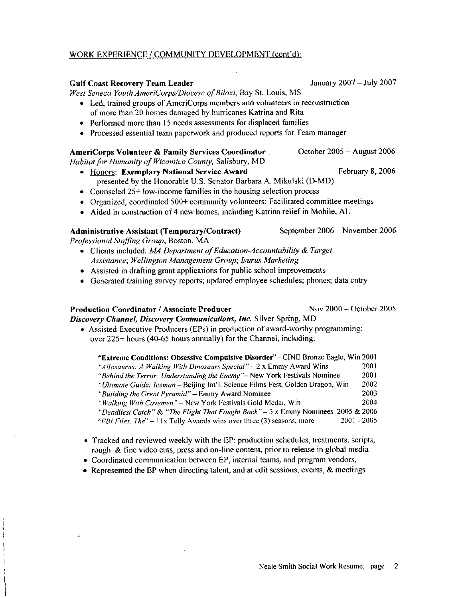#### Neale Smith Social Work Resume, page 2

#### WORK EXPERIENCE / COMMUNITY DEVELOPMENT (cont'd):

#### Gulf Coast Recovery Team Leader **January 2007** January 2007 – July 2007

West Seneca Youth AmeriCorps/Diocese of Biloxi, Bay St. Louis, MS

- Led, trained groups of AmeriCorps members and volunteers in reconstruction of more than <sup>20</sup> homes damaged by hurricanes Katrina and Rita
- Performed more than 15 needs assessments for displaced families
- Processed essential team paperwork and produced reports for Team manager

#### AmeriCorps Volunteer & Family Services Coordinator **October 2005** - August 2006

- Habitat for Humanity of Wicomico County, Salisbury, MD • Honors: Exemplary National Service Award February 8, 2006 presented by the Honorable U.S. Senator Barbara A. Mikulski (D-MD)
	- Counseled  $25+$  low-income families in the housing selection process
	- Organized, coordinated  $500+$  community volunteers: Facilitated committee meetings
	- $\bullet$  Aided in construction of 4 new homes, including Katrina relief in Mobile, AL

#### Administrative Assistant (Temporary/Contract) September 2006 – November 2006

 $\begin{array}{c} | \\ | \\ | \end{array}$ 

- Professional Staffing Group, Boston, MA<br>• Clients included: *MA Department of Education-Accountability & Target* presented by the Honordote 0.5: Senator Barbara 71: Mikaiski (B MB<br>Counseled 25+ low-income families in the housing selection process<br>Organized, coordinated 500+ community volunteers; Facilitated commit<br>Aided in constructi Assistance; Wellington Management Group; Isurus Marketing
	- Assisted in drafting grant applications for public school improvements
	- Generated training survey reports; updated employee schedules; phones; data entry

#### Production Coordinator / Associate Producer Nov 2000 – October 2005 Discovery Channel, Discovery Communications, Inc. Silver Spring, MD

 $\bullet$  Assisted Executive Producers (EPs) in production of award-worthy programming:

| Assisted Executive Producers (EPs) in production of award-worthy programming:<br>over 225+ hours (40-65 hours annually) for the Channel, including: |      |
|-----------------------------------------------------------------------------------------------------------------------------------------------------|------|
| "Extreme Conditions: Obsessive Compulsive Disorder" - CINE Bronze Eagle, Win 2001                                                                   |      |
| "Allosaurus: A Walking With Dinosaurs Special" $-2x$ Emmy Award Wins                                                                                | 2001 |
| "Behind the Terror: Understanding the Enemy"- New York Festivals Nominee                                                                            | 2001 |
| "Ultimate Guide: Iceman - Beijing Int'l. Science Films Fest, Golden Dragon, Win                                                                     | 2002 |
| "Building the Great Pyramid" - Emmy Award Nominee                                                                                                   | 2003 |
| "Walking With Cavemen" - New York Festivals Gold Medal, Win                                                                                         | 2004 |
| "Deadliest Catch" & "The Flight That Fought Back" $-3 \times$ Emmy Nominees 2005 & 2006                                                             |      |
| $2001 - 2005$<br>"FBI Files, The" $-11x$ Telly Awards wins over three (3) seasons, more                                                             |      |

- Tracked and reviewed weekly with the EP: production schedules, treatments, scripts rough & fine video cuts, press and on-line content, prior to release in global media
- Coordinated communication between EP, internal teams, and program vendors,
- Represented the EP when directing talent, and at edit sessions, events,  $\&$  meetings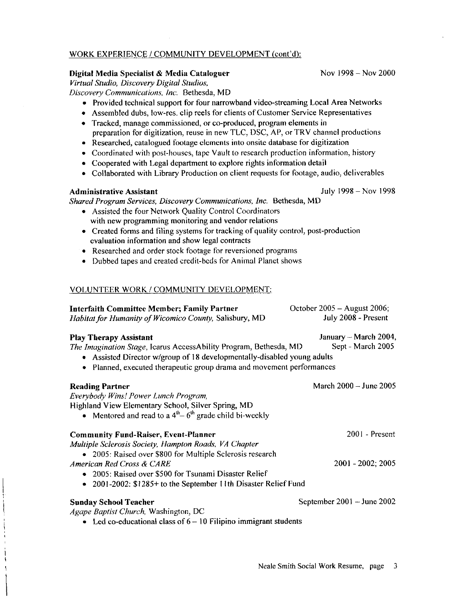#### WORK EXPERIENCE / COMMUNITY DEVELOPMENT (cont'd):

#### Digital Media Specialist & Media Cataloguer Nov 1998 – Nov 2000

Virtual Studio, Discovery Digital Studios,

- Discovery Communications, Inc. Bethesda, MD
	-
	- Provided technical support for four narrowband video-streaming Local Area Networks<br>
	Assembled dubs, low-res. clip reels for clients of Customer Service Representatives<br>
	Tracked, manage commissioned, or co-produced, program • Assembled dubs, low-res. clip reels for clients of Customer Service Representatives<br>• Tracked, manage commissioned, or co-produced, program elements in
	- preparation for digitization, reuse in new TLC, DSC, AP, or TRV channel productions
	- Researched, catalogued footage elements into onsite database for digitization
	- Coordinated with post-houses, tape Vault to research production information, history
	- Cooperated with Legal department to explore rights information detail
	- Collaborated with Library Production on client requests for footage, audio, deliverables

# Administrative Assistant July 1998 – Nov 1998

Shared Program Services, Discovery Communications, Inc. Bethesda, MD

- Assisted the four Network Quality Control Coordinators with new programming monitoring and vendor relations
- $\bullet$  Created forms and filing systems for tracking of quality control, post-production evaluation information and show legal contracts • Assisted the four Network Quality Control Coordinato<br>with new programming monitoring and vendor relation<br>• Created forms and filing systems for tracking of quality<br>evaluation information and show legal contracts<br>• Resear
	- Researched and order stock footage for reversioned programs
	- Dubbed tapes and created credit beds for Animal Planet shows

| <b>Interfaith Committee Member; Family Partner</b><br>Habitat for Humanity of Wicomico County, Salisbury, MD                                                                                                                                         | October 2005 – August 2006;<br>July 2008 - Present |
|------------------------------------------------------------------------------------------------------------------------------------------------------------------------------------------------------------------------------------------------------|----------------------------------------------------|
| <b>Play Therapy Assistant</b><br>The Imagination Stage, Icarus AccessAbility Program, Bethesda, MD<br>• Assisted Director w/group of 18 developmentally-disabled young adults<br>Planned, executed therapeutic group drama and movement performances | January – March 2004,<br>Sept - March 2005         |
| <b>Reading Partner</b><br>Everybody Wins! Power Lunch Program,<br>Highland View Elementary School, Silver Spring, MD<br>• Mentored and read to a $4th - 6th$ grade child bi-weekly                                                                   | March 2000 - June 2005                             |
| <b>Community Fund-Raiser, Event-Planner</b><br>Multiple Sclerosis Society, Hampton Roads, VA Chapter<br>• 2005: Raised over \$800 for Multiple Sclerosis research                                                                                    | 2001 - Present                                     |
| American Red Cross & CARE<br>• 2005: Raised over \$500 for Tsunami Disaster Relief<br>2001-2002: \$1285+ to the September 11th Disaster Relief Fund<br>$\bullet$                                                                                     | 2001 - 2002; 2005                                  |
| <b>Sunday School Teacher</b><br>Agape Baptist Church, Washington, DC<br>• Led co-educational class of $6 - 10$ Filipino immigrant students                                                                                                           | September $2001 -$ June $2002$                     |